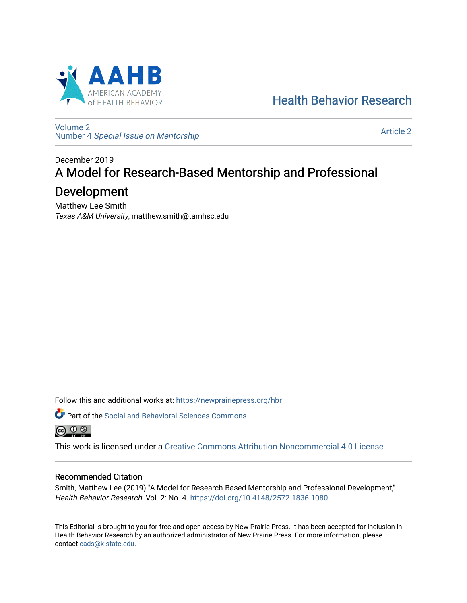

[Health Behavior Research](https://newprairiepress.org/hbr) 

[Volume 2](https://newprairiepress.org/hbr/vol2) Number 4 [Special Issue on Mentorship](https://newprairiepress.org/hbr/vol2/iss4) 

[Article 2](https://newprairiepress.org/hbr/vol2/iss4/2) 

# December 2019 A Model for Research-Based Mentorship and Professional

# Development

Matthew Lee Smith Texas A&M University, matthew.smith@tamhsc.edu

Follow this and additional works at: [https://newprairiepress.org/hbr](https://newprairiepress.org/hbr?utm_source=newprairiepress.org%2Fhbr%2Fvol2%2Fiss4%2F2&utm_medium=PDF&utm_campaign=PDFCoverPages) 

Part of the [Social and Behavioral Sciences Commons](http://network.bepress.com/hgg/discipline/316?utm_source=newprairiepress.org%2Fhbr%2Fvol2%2Fiss4%2F2&utm_medium=PDF&utm_campaign=PDFCoverPages)  (ഒ) ⊙ ⊛

This work is licensed under a [Creative Commons Attribution-Noncommercial 4.0 License](https://creativecommons.org/licenses/by-nc/4.0/)

# Recommended Citation

Smith, Matthew Lee (2019) "A Model for Research-Based Mentorship and Professional Development," Health Behavior Research: Vol. 2: No. 4. <https://doi.org/10.4148/2572-1836.1080>

This Editorial is brought to you for free and open access by New Prairie Press. It has been accepted for inclusion in Health Behavior Research by an authorized administrator of New Prairie Press. For more information, please contact [cads@k-state.edu](mailto:cads@k-state.edu).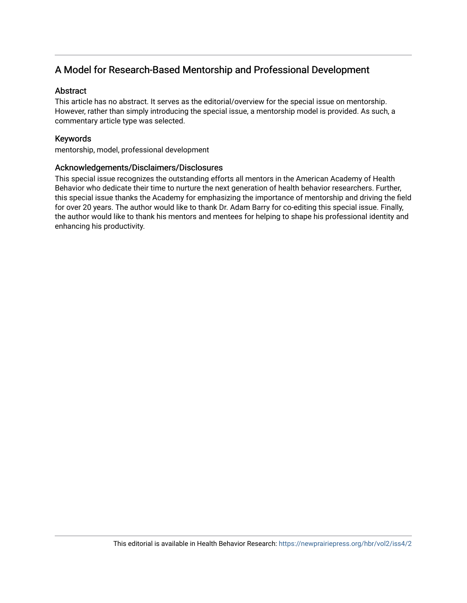# A Model for Research-Based Mentorship and Professional Development

#### Abstract

This article has no abstract. It serves as the editorial/overview for the special issue on mentorship. However, rather than simply introducing the special issue, a mentorship model is provided. As such, a commentary article type was selected.

## Keywords

mentorship, model, professional development

#### Acknowledgements/Disclaimers/Disclosures

This special issue recognizes the outstanding efforts all mentors in the American Academy of Health Behavior who dedicate their time to nurture the next generation of health behavior researchers. Further, this special issue thanks the Academy for emphasizing the importance of mentorship and driving the field for over 20 years. The author would like to thank Dr. Adam Barry for co-editing this special issue. Finally, the author would like to thank his mentors and mentees for helping to shape his professional identity and enhancing his productivity.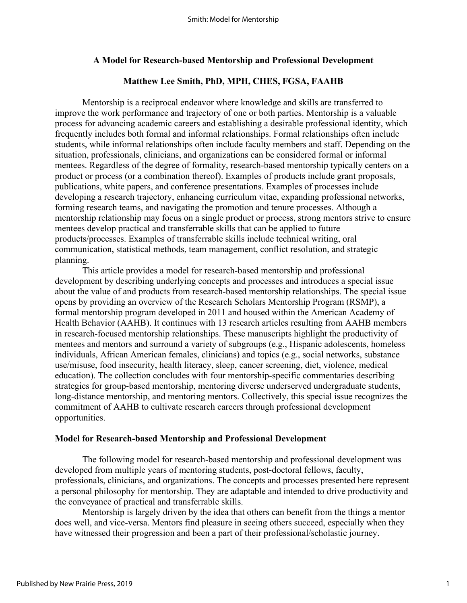## **A Model for Research-based Mentorship and Professional Development**

## **Matthew Lee Smith, PhD, MPH, CHES, FGSA, FAAHB**

Mentorship is a reciprocal endeavor where knowledge and skills are transferred to improve the work performance and trajectory of one or both parties. Mentorship is a valuable process for advancing academic careers and establishing a desirable professional identity, which frequently includes both formal and informal relationships. Formal relationships often include students, while informal relationships often include faculty members and staff. Depending on the situation, professionals, clinicians, and organizations can be considered formal or informal mentees. Regardless of the degree of formality, research-based mentorship typically centers on a product or process (or a combination thereof). Examples of products include grant proposals, publications, white papers, and conference presentations. Examples of processes include developing a research trajectory, enhancing curriculum vitae, expanding professional networks, forming research teams, and navigating the promotion and tenure processes. Although a mentorship relationship may focus on a single product or process, strong mentors strive to ensure mentees develop practical and transferrable skills that can be applied to future products/processes. Examples of transferrable skills include technical writing, oral communication, statistical methods, team management, conflict resolution, and strategic planning.

This article provides a model for research-based mentorship and professional development by describing underlying concepts and processes and introduces a special issue about the value of and products from research-based mentorship relationships. The special issue opens by providing an overview of the Research Scholars Mentorship Program (RSMP), a formal mentorship program developed in 2011 and housed within the American Academy of Health Behavior (AAHB). It continues with 13 research articles resulting from AAHB members in research-focused mentorship relationships. These manuscripts highlight the productivity of mentees and mentors and surround a variety of subgroups (e.g., Hispanic adolescents, homeless individuals, African American females, clinicians) and topics (e.g., social networks, substance use/misuse, food insecurity, health literacy, sleep, cancer screening, diet, violence, medical education). The collection concludes with four mentorship-specific commentaries describing strategies for group-based mentorship, mentoring diverse underserved undergraduate students, long-distance mentorship, and mentoring mentors. Collectively, this special issue recognizes the commitment of AAHB to cultivate research careers through professional development opportunities.

## **Model for Research-based Mentorship and Professional Development**

The following model for research-based mentorship and professional development was developed from multiple years of mentoring students, post-doctoral fellows, faculty, professionals, clinicians, and organizations. The concepts and processes presented here represent a personal philosophy for mentorship. They are adaptable and intended to drive productivity and the conveyance of practical and transferrable skills.

Mentorship is largely driven by the idea that others can benefit from the things a mentor does well, and vice-versa. Mentors find pleasure in seeing others succeed, especially when they have witnessed their progression and been a part of their professional/scholastic journey.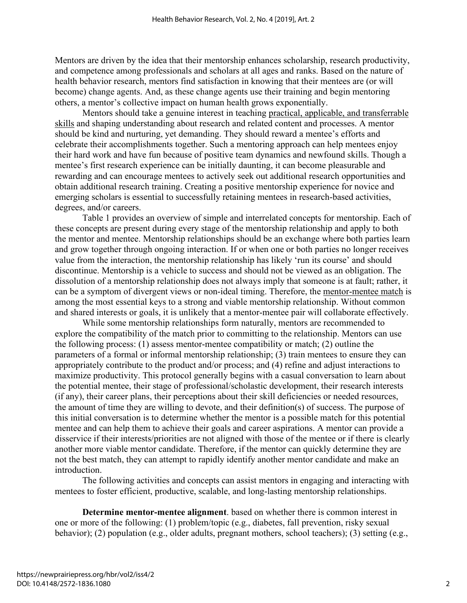Mentors are driven by the idea that their mentorship enhances scholarship, research productivity, and competence among professionals and scholars at all ages and ranks. Based on the nature of health behavior research, mentors find satisfaction in knowing that their mentees are (or will become) change agents. And, as these change agents use their training and begin mentoring others, a mentor's collective impact on human health grows exponentially.

Mentors should take a genuine interest in teaching practical, applicable, and transferrable skills and shaping understanding about research and related content and processes. A mentor should be kind and nurturing, yet demanding. They should reward a mentee's efforts and celebrate their accomplishments together. Such a mentoring approach can help mentees enjoy their hard work and have fun because of positive team dynamics and newfound skills. Though a mentee's first research experience can be initially daunting, it can become pleasurable and rewarding and can encourage mentees to actively seek out additional research opportunities and obtain additional research training. Creating a positive mentorship experience for novice and emerging scholars is essential to successfully retaining mentees in research-based activities, degrees, and/or careers.

 Table 1 provides an overview of simple and interrelated concepts for mentorship. Each of these concepts are present during every stage of the mentorship relationship and apply to both the mentor and mentee. Mentorship relationships should be an exchange where both parties learn and grow together through ongoing interaction. If or when one or both parties no longer receives value from the interaction, the mentorship relationship has likely 'run its course' and should discontinue. Mentorship is a vehicle to success and should not be viewed as an obligation. The dissolution of a mentorship relationship does not always imply that someone is at fault; rather, it can be a symptom of divergent views or non-ideal timing. Therefore, the mentor-mentee match is among the most essential keys to a strong and viable mentorship relationship. Without common and shared interests or goals, it is unlikely that a mentor-mentee pair will collaborate effectively.

While some mentorship relationships form naturally, mentors are recommended to explore the compatibility of the match prior to committing to the relationship. Mentors can use the following process: (1) assess mentor-mentee compatibility or match; (2) outline the parameters of a formal or informal mentorship relationship; (3) train mentees to ensure they can appropriately contribute to the product and/or process; and (4) refine and adjust interactions to maximize productivity. This protocol generally begins with a casual conversation to learn about the potential mentee, their stage of professional/scholastic development, their research interests (if any), their career plans, their perceptions about their skill deficiencies or needed resources, the amount of time they are willing to devote, and their definition(s) of success. The purpose of this initial conversation is to determine whether the mentor is a possible match for this potential mentee and can help them to achieve their goals and career aspirations. A mentor can provide a disservice if their interests/priorities are not aligned with those of the mentee or if there is clearly another more viable mentor candidate. Therefore, if the mentor can quickly determine they are not the best match, they can attempt to rapidly identify another mentor candidate and make an introduction.

The following activities and concepts can assist mentors in engaging and interacting with mentees to foster efficient, productive, scalable, and long-lasting mentorship relationships.

**Determine mentor-mentee alignment**. based on whether there is common interest in one or more of the following: (1) problem/topic (e.g., diabetes, fall prevention, risky sexual behavior); (2) population (e.g., older adults, pregnant mothers, school teachers); (3) setting (e.g.,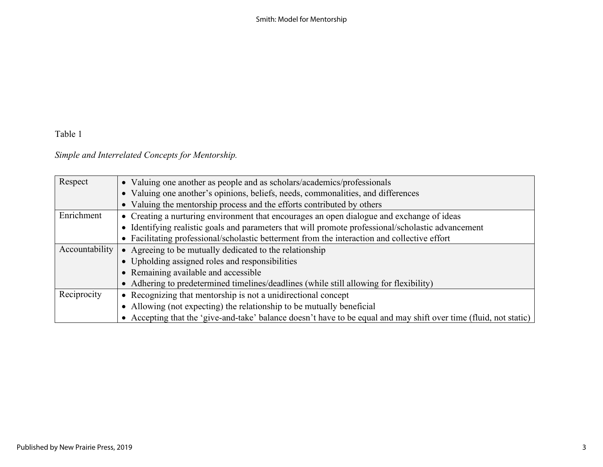Smith: Model for Mentorship

# Table 1

# *Simple and Interrelated Concepts for Mentorship.*

| Respect        | • Valuing one another as people and as scholars/academics/professionals                                           |
|----------------|-------------------------------------------------------------------------------------------------------------------|
|                | • Valuing one another's opinions, beliefs, needs, commonalities, and differences                                  |
|                | • Valuing the mentorship process and the efforts contributed by others                                            |
| Enrichment     | • Creating a nurturing environment that encourages an open dialogue and exchange of ideas                         |
|                | • Identifying realistic goals and parameters that will promote professional/scholastic advancement                |
|                | • Facilitating professional/scholastic betterment from the interaction and collective effort                      |
| Accountability | • Agreeing to be mutually dedicated to the relationship                                                           |
|                | • Upholding assigned roles and responsibilities                                                                   |
|                | • Remaining available and accessible                                                                              |
|                | • Adhering to predetermined timelines/deadlines (while still allowing for flexibility)                            |
| Reciprocity    | • Recognizing that mentorship is not a unidirectional concept                                                     |
|                | • Allowing (not expecting) the relationship to be mutually beneficial                                             |
|                | • Accepting that the 'give-and-take' balance doesn't have to be equal and may shift over time (fluid, not static) |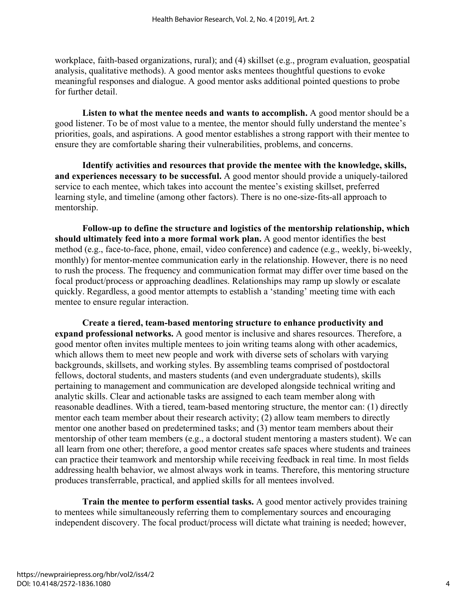workplace, faith-based organizations, rural); and (4) skillset (e.g., program evaluation, geospatial analysis, qualitative methods). A good mentor asks mentees thoughtful questions to evoke meaningful responses and dialogue. A good mentor asks additional pointed questions to probe for further detail.

**Listen to what the mentee needs and wants to accomplish.** A good mentor should be a good listener. To be of most value to a mentee, the mentor should fully understand the mentee's priorities, goals, and aspirations. A good mentor establishes a strong rapport with their mentee to ensure they are comfortable sharing their vulnerabilities, problems, and concerns.

**Identify activities and resources that provide the mentee with the knowledge, skills, and experiences necessary to be successful.** A good mentor should provide a uniquely-tailored service to each mentee, which takes into account the mentee's existing skillset, preferred learning style, and timeline (among other factors). There is no one-size-fits-all approach to mentorship.

**Follow-up to define the structure and logistics of the mentorship relationship, which should ultimately feed into a more formal work plan.** A good mentor identifies the best method (e.g., face-to-face, phone, email, video conference) and cadence (e.g., weekly, bi-weekly, monthly) for mentor-mentee communication early in the relationship. However, there is no need to rush the process. The frequency and communication format may differ over time based on the focal product/process or approaching deadlines. Relationships may ramp up slowly or escalate quickly. Regardless, a good mentor attempts to establish a 'standing' meeting time with each mentee to ensure regular interaction.

**Create a tiered, team-based mentoring structure to enhance productivity and expand professional networks.** A good mentor is inclusive and shares resources. Therefore, a good mentor often invites multiple mentees to join writing teams along with other academics, which allows them to meet new people and work with diverse sets of scholars with varying backgrounds, skillsets, and working styles. By assembling teams comprised of postdoctoral fellows, doctoral students, and masters students (and even undergraduate students), skills pertaining to management and communication are developed alongside technical writing and analytic skills. Clear and actionable tasks are assigned to each team member along with reasonable deadlines. With a tiered, team-based mentoring structure, the mentor can: (1) directly mentor each team member about their research activity; (2) allow team members to directly mentor one another based on predetermined tasks; and (3) mentor team members about their mentorship of other team members (e.g., a doctoral student mentoring a masters student). We can all learn from one other; therefore, a good mentor creates safe spaces where students and trainees can practice their teamwork and mentorship while receiving feedback in real time. In most fields addressing health behavior, we almost always work in teams. Therefore, this mentoring structure produces transferrable, practical, and applied skills for all mentees involved.

**Train the mentee to perform essential tasks.** A good mentor actively provides training to mentees while simultaneously referring them to complementary sources and encouraging independent discovery. The focal product/process will dictate what training is needed; however,